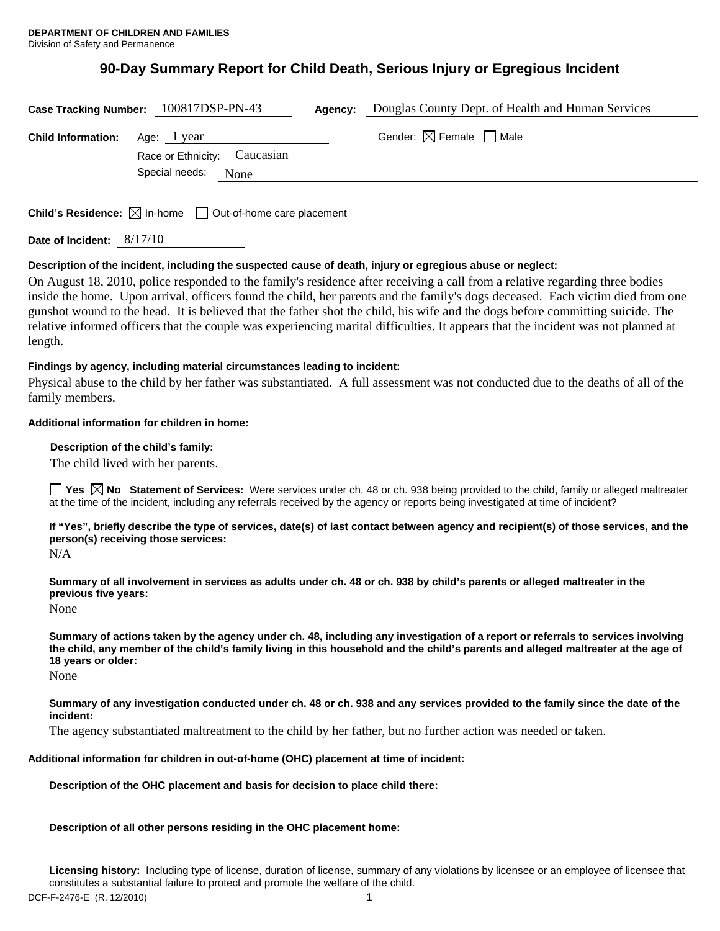# **90-Day Summary Report for Child Death, Serious Injury or Egregious Incident**

|                                                                                 | Case Tracking Number: 100817DSP-PN-43      | Agency: | Douglas County Dept. of Health and Human Services |
|---------------------------------------------------------------------------------|--------------------------------------------|---------|---------------------------------------------------|
| <b>Child Information:</b>                                                       | Age: lyear<br>Race or Ethnicity: Caucasian |         | Gender: $\boxtimes$ Female $\Box$ Male            |
|                                                                                 | Special needs:<br>None                     |         |                                                   |
|                                                                                 |                                            |         |                                                   |
| <b>Child's Residence:</b> $\boxtimes$ In-home $\Box$ Out-of-home care placement |                                            |         |                                                   |

**Date of Incident:** 8/17/10

## **Description of the incident, including the suspected cause of death, injury or egregious abuse or neglect:**

On August 18, 2010, police responded to the family's residence after receiving a call from a relative regarding three bodies inside the home. Upon arrival, officers found the child, her parents and the family's dogs deceased. Each victim died from one gunshot wound to the head. It is believed that the father shot the child, his wife and the dogs before committing suicide. The relative informed officers that the couple was experiencing marital difficulties. It appears that the incident was not planned at length.

#### **Findings by agency, including material circumstances leading to incident:**

Physical abuse to the child by her father was substantiated. A full assessment was not conducted due to the deaths of all of the family members.

## **Additional information for children in home:**

 **Description of the child's family:** 

The child lived with her parents.

**Yes**  $\boxtimes$  **No** Statement of Services: Were services under ch. 48 or ch. 938 being provided to the child, family or alleged maltreater at the time of the incident, including any referrals received by the agency or reports being investigated at time of incident?

**If "Yes", briefly describe the type of services, date(s) of last contact between agency and recipient(s) of those services, and the person(s) receiving those services:** 

N/A

**Summary of all involvement in services as adults under ch. 48 or ch. 938 by child's parents or alleged maltreater in the previous five years:** 

None

**Summary of actions taken by the agency under ch. 48, including any investigation of a report or referrals to services involving the child, any member of the child's family living in this household and the child's parents and alleged maltreater at the age of 18 years or older:** 

None

**Summary of any investigation conducted under ch. 48 or ch. 938 and any services provided to the family since the date of the incident:** 

The agency substantiated maltreatment to the child by her father, but no further action was needed or taken.

#### **Additional information for children in out-of-home (OHC) placement at time of incident:**

**Description of the OHC placement and basis for decision to place child there:** 

## **Description of all other persons residing in the OHC placement home:**

**Licensing history:** Including type of license, duration of license, summary of any violations by licensee or an employee of licensee that constitutes a substantial failure to protect and promote the welfare of the child.